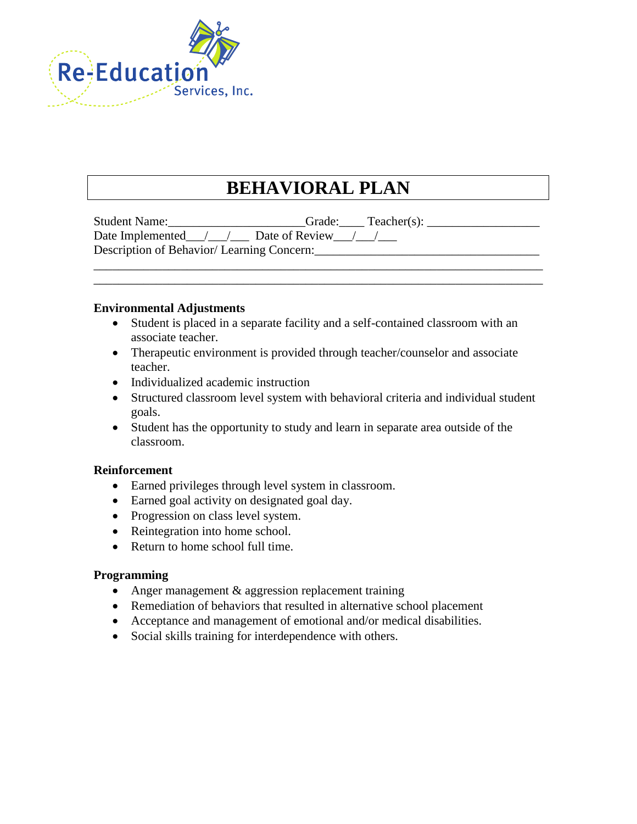

# **BEHAVIORAL PLAN**

| <b>Student Name:</b>                      | $Teacher(s)$ :<br>Grade: |
|-------------------------------------------|--------------------------|
| Date Implemented $/$ /                    | Date of Review / /       |
| Description of Behavior/Learning Concern: |                          |

\_\_\_\_\_\_\_\_\_\_\_\_\_\_\_\_\_\_\_\_\_\_\_\_\_\_\_\_\_\_\_\_\_\_\_\_\_\_\_\_\_\_\_\_\_\_\_\_\_\_\_\_\_\_\_\_\_\_\_\_\_\_\_\_\_\_\_\_\_\_\_\_ \_\_\_\_\_\_\_\_\_\_\_\_\_\_\_\_\_\_\_\_\_\_\_\_\_\_\_\_\_\_\_\_\_\_\_\_\_\_\_\_\_\_\_\_\_\_\_\_\_\_\_\_\_\_\_\_\_\_\_\_\_\_\_\_\_\_\_\_\_\_\_\_

## **Environmental Adjustments**

- Student is placed in a separate facility and a self-contained classroom with an associate teacher.
- Therapeutic environment is provided through teacher/counselor and associate teacher.
- Individualized academic instruction
- Structured classroom level system with behavioral criteria and individual student goals.
- Student has the opportunity to study and learn in separate area outside of the classroom.

## **Reinforcement**

- Earned privileges through level system in classroom.
- Earned goal activity on designated goal day.
- Progression on class level system.
- Reintegration into home school.
- Return to home school full time.

## **Programming**

- Anger management & aggression replacement training
- Remediation of behaviors that resulted in alternative school placement
- Acceptance and management of emotional and/or medical disabilities.
- Social skills training for interdependence with others.